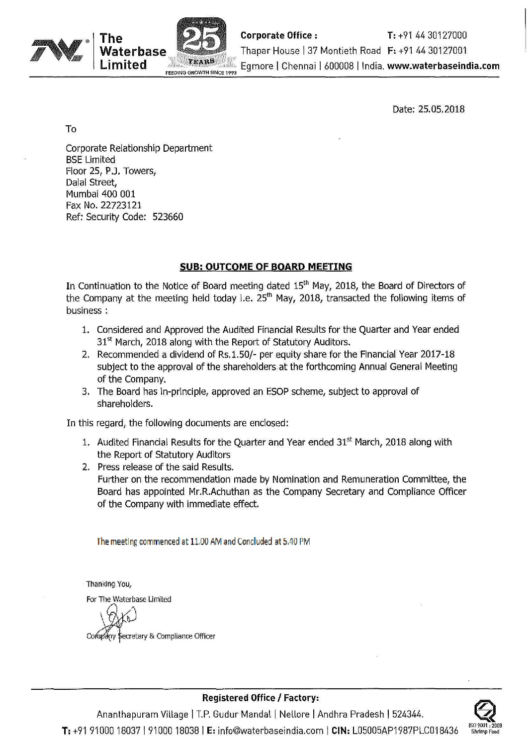

Date: 25.05.2018

To

Corporate Relationship Department BSE Limited Floor 25, P.J. Towers, Dalal Street, Mumbai 400 001 Fax No. 22723121 Ref: Security Code: 523660

### **SUB: OUTCOME OF BOARD MEETING**

In Continuation to the Notice of Board meeting dated  $15<sup>th</sup>$  May, 2018, the Board of Directors of the Company at the meeting held today i.e.  $25<sup>th</sup>$  May, 2018, transacted the following items of business:

- 1. Considered and Approved the Audited Financial Results for the Quarter and Year ended  $31<sup>st</sup>$  March, 2018 along with the Report of Statutory Auditors.
- 2. Recommended a dividend of Rs.1.50/- per equity share for the Financial Year 2017-18 subject to the approval of the shareholders at the forthcoming Annual General Meeting of the Company.
- 3. The Board has in-principle, approved an ESOP scheme, subject to approval of shareholders.

In this regard, the following documents are enclosed:

- 1. Audited Financial Results for the Quarter and Year ended  $31<sup>st</sup>$  March, 2018 along with the Report of Statutory Auditors
- 2. Press release of the said Results. Further on the recommendation made by Nomination and Remuneration Committee, the Board has appointed Mr.R.Achuthan as the Company Secretary and Compliance Officer of the Company with immediate effect.

**The** meeting commenced at 11.00 AM and Concluded at 5.40 PM

Thanking You,

For The Waterbase Limited

any Secretary & Compliance Officer

**Registered Office I Factory:**

Ananthapuram Village | T.P. Gudur Mandal | Nellore | Andhra Pradesh | 524344. **T:** +91 <sup>91000</sup> <sup>18037</sup> I <sup>91000</sup> <sup>18038</sup> I **E:** info@waterbaseindia.com I **CIN:** L05005AP1987PLC018436 **Iso <sup>9001</sup> : <sup>2008</sup>**

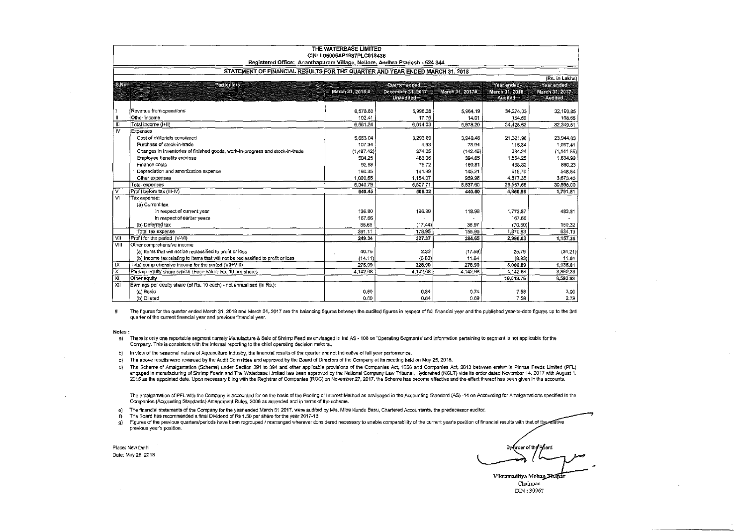|                         | THE WATERBASE LIMITED<br>CIN: L05005AP1987PLC018436<br>Registered Office: Ananthapuram Village, Nellore, Andhra Pradesh - 524 344<br>STATEMENT OF FINANCIAL RESULTS FOR THE QUARTER AND YEAR ENDED MARCH 31, 2018 |                  |                          |                 |                 |                       |  |  |
|-------------------------|-------------------------------------------------------------------------------------------------------------------------------------------------------------------------------------------------------------------|------------------|--------------------------|-----------------|-----------------|-----------------------|--|--|
|                         |                                                                                                                                                                                                                   |                  |                          |                 |                 |                       |  |  |
|                         |                                                                                                                                                                                                                   |                  |                          |                 |                 | (Rs. in Lakhs)        |  |  |
| S <sub>No</sub>         | Particulars                                                                                                                                                                                                       |                  | Quarter ended            |                 | Year ended      | Year ended            |  |  |
|                         |                                                                                                                                                                                                                   | March 31, 2018 # | <b>December 311 2017</b> | March 31, 2017# | March 31, 2018  | <b>March 31, 2017</b> |  |  |
|                         |                                                                                                                                                                                                                   |                  | <b>Unaudited</b>         |                 | <b>Auditori</b> | <b>Antinent</b>       |  |  |
|                         | Revenue from operations                                                                                                                                                                                           | 6,578.83         | 5,996.28                 | 5,964,19        | 34,274.03       | 32,190.85             |  |  |
| $\mathbf{u}$            | Other income                                                                                                                                                                                                      | 102.41           | 17,75                    | 14.01           | 154.59          | 158.66                |  |  |
| $\mathbf{m}$            | Total incorne (I+II)                                                                                                                                                                                              | 6.681.24         | 6.014.03                 | 5,978.20        | 34,428.62       | 32,349,51             |  |  |
| ïv                      | Expenses                                                                                                                                                                                                          |                  |                          |                 |                 |                       |  |  |
|                         | Cost of materials consumed                                                                                                                                                                                        | 5.663.04         | 3,293.69                 | 3,940.48        | 21,321.96       | 23,944.83             |  |  |
|                         | Purchase of stock-in-trade                                                                                                                                                                                        | 107.34           | 4.93                     | 78.94           | 115.34          | 1,037,41              |  |  |
|                         | Changes in inventories of finished goods, work-in-progress and stock-in-trade                                                                                                                                     | (1.487.42)       | 374.25                   | (142.45)        | 334.24          | (1, 141.55)           |  |  |
|                         | Employee benefits expense                                                                                                                                                                                         | 504.25           | 463.06                   | 394.65          | 1,864.25        | 1,634,99              |  |  |
|                         | Finance costs                                                                                                                                                                                                     | 92.58            | 75.72                    | 160.81          | 438.82          | 860.23                |  |  |
|                         | Depreciation and amortization expense                                                                                                                                                                             | 160.35           | 141.99                   | 145.21          | 615.70          | 548.64                |  |  |
|                         | Other expenses                                                                                                                                                                                                    | 1,000.65         | 1.154.07                 | 959.96          | 4,877.35        | 3,673.45              |  |  |
|                         | Total expenses                                                                                                                                                                                                    | 6.040.79         | 5,507.71                 | 5,537.60        | 29,567.66       | 30,558.00             |  |  |
| $\overline{\mathsf{v}}$ | Profit before tax (III-IV)                                                                                                                                                                                        | 640.45           | 506,32                   | 440.60          | 4,860.96        | 1.791.51              |  |  |
| Ϋ́                      | Tax expense:                                                                                                                                                                                                      |                  |                          |                 |                 |                       |  |  |
|                         | (a) Current tax                                                                                                                                                                                                   |                  |                          |                 |                 |                       |  |  |
|                         | In respect of current year                                                                                                                                                                                        | 136.80           | 196.39                   | 118.98          | 1,773.87        | 483.81                |  |  |
|                         | In respect of earlier years                                                                                                                                                                                       | 167.66           |                          |                 | 167.66          |                       |  |  |
|                         | (b) Deferred tax                                                                                                                                                                                                  | 86,65            | (17, 44)                 | 36.97           | (70.60)         | 150,32                |  |  |
|                         | Total tax expense                                                                                                                                                                                                 | 391.11           | 178.95                   | 155.95          | 1.870.93        | 634.13                |  |  |
| <b>VII</b>              | Profit for the period (V-VI)                                                                                                                                                                                      | 249.34           | 327.37                   | 284.65          | 2,990.03        | 1,157,38              |  |  |
| VIII                    | Other comprehensive income                                                                                                                                                                                        |                  |                          |                 |                 |                       |  |  |
|                         | (a) Items that will not be reclassified to profit or loss                                                                                                                                                         | 40.76            | 2.33                     | (17.59)         | 25.79           | (34.21)               |  |  |
|                         | (b) Income tax relating to items that will not be reclassified to profit or loss                                                                                                                                  | (14.11)          | (0.80)                   | 11.84           | (8.93)          | 11.84                 |  |  |
| ΤX                      | Total comprehensive income for the period (VII+VIII)                                                                                                                                                              | 275.99           | 328.90                   | 278.90          | 3,006.89        | 1,135,01              |  |  |
| x                       | Paid-up equity share capital (Face value: Rs. 10 per share)                                                                                                                                                       | 4 142.68         | 4,142,68                 | 4.142,68        | 4,142.68        | 3,860,33              |  |  |
| XI                      | Other equity                                                                                                                                                                                                      |                  |                          |                 | 10,819.76       | 8,593.83              |  |  |
| X <sub>H</sub>          | Earnings per equity share (of Rs. 10 each) - not annualised (in Rs.);                                                                                                                                             |                  |                          |                 |                 |                       |  |  |
|                         | (a) Basic                                                                                                                                                                                                         | 0.60             | 0.84                     | 0.74            | 7.58            | 3.00                  |  |  |
|                         | (b) Diluted                                                                                                                                                                                                       | 0.60             | 0.84                     | 0.69            | 7.58            | 2,79                  |  |  |

# The figures for the quarter ended March 31, 2018 and March 31, 2017 are the balancing figures between the audited figures in respect of full financial year and the published year-to-date figures up to the 3rd quarter of the current financial year and previous financial year.

Notes:

a) There is only one reportable segment namely Manufacture & Sale of Shrimp Feed as envisaged in Ind AS - 108 on 'Operating Segments' and information pertaining to segment is not applicable for the Company. This is consistent with the internal reporting to the chief operating decision makers..

- b) In view of the seasonal nature of Aquaculture Industry, the financial results of the quarter are not indicative of full year performance.
- c) The above results were reviewed by the Audit Committee and approved by the 80ard of Directors of the Company at its meeting held on May 25, 2018.

d) The Scheme of Amalgamation (Scheme) under Section 391 to 394 and other applicable provisions of the Companies Act, 1956 and Companies Act, 2013 between erstwhile Pinnae Feeds Limited (PFL) engaged in manufacturing of Shrimp Feeds and The Waterbase Limited has been approved by the National Company Law Tribunal. Hyderabad (NCLT) vide its order dated November 14, 2017 with August 1. 2015 as the appointed date. Upon necessary filing with the Registrar of Companies (ROC) on November 27, 2017, the Scheme has become effective and the effect thereof has been given in the accounts.

The amalgamation of PFL with the Company is accounted for on the basis of the Pooling of Interest Method as envisaged in the Accounting Standard (AS) -14 on Accounting for Amalgamations specified in the Companies (Accounting Standards) Amendment Rules, 2006 as amended and in terms of the scheme.

e) The financial statements of the Company forthe year ended March 31 2017, were audited by MIs. Mitra Kundu Basu, Chartered Accountants, the predecessor auditor.

f) The Board has recommended a final DiVidend of Rs 1.50 per share for the year 2017-18 Figures of the previous quarters/periods have been regrouped / rearranged wherever considered necessary to enable comparability of the current year's position of financial results with that of the realive previous year's position.

Place; New Delhi

Place: New Delhi By Croer of the Post of the Post of the Post of the Post of the Post of the Post of the Post of<br>Date: May 25, 2018 Vikramaditya Mohan Thapar Chairman

DIN: 30967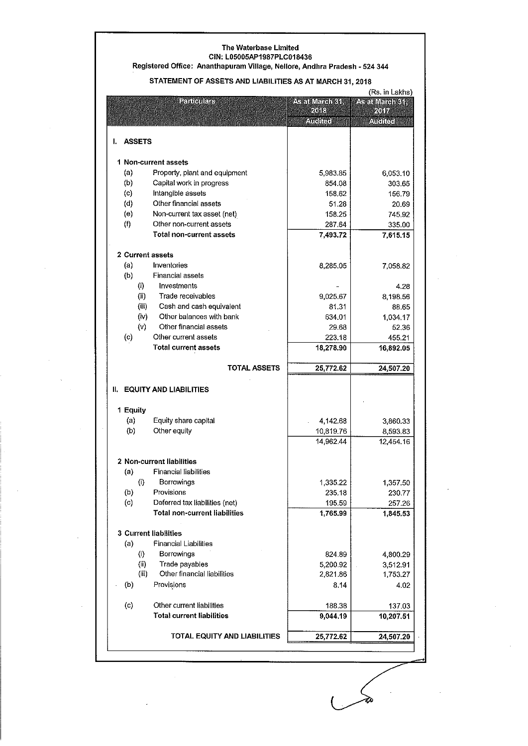#### **The Waterbase Limited** CIN: L05005AP1987PLC018436

**Registered Office: Ananthapuram Village, Nellore, Andhra Pradesh - 524 344**

#### STATEMENT OF ASSETS AND LIABILITIES AS AT MARCH 31, 2018

| (Rs. in Lakhs)               |                                      |                 |                 |  |  |
|------------------------------|--------------------------------------|-----------------|-----------------|--|--|
|                              | <b>Particulars</b>                   | As at March 31. | As at March 31, |  |  |
|                              |                                      | 2018            | 外面              |  |  |
|                              |                                      | Audhen          | <b>Auchec</b>   |  |  |
|                              |                                      |                 |                 |  |  |
| <b>ASSETS</b><br>ı.          |                                      |                 |                 |  |  |
|                              |                                      |                 |                 |  |  |
|                              | 1 Non-current assets                 |                 |                 |  |  |
| (a)                          | Property, plant and equipment        | 5,983.85        | 6,053.10        |  |  |
| (b)                          |                                      |                 |                 |  |  |
|                              | Capital work in progress             | 854.08          | 303.65          |  |  |
| (c)                          | Intangible assets                    | 158.62          | 156.79          |  |  |
| (d)                          | Other financial assets               | 51.28           | 20.69           |  |  |
| (e)                          | Non-current tax asset (net)          | 158.25          | 745.92          |  |  |
| (f)                          | Other non-current assets             | 287.64          | 335.00          |  |  |
|                              | <b>Total non-current assets</b>      | 7,493.72        | 7,615.15        |  |  |
|                              |                                      |                 |                 |  |  |
| 2 Current assets             |                                      |                 |                 |  |  |
| (a)                          | Inventories                          | 8,285.05        | 7,058.82        |  |  |
| (b)                          | Financial assets                     |                 |                 |  |  |
| (i)                          | Investments                          |                 | 4.28            |  |  |
|                              |                                      |                 |                 |  |  |
| (ii)                         | Trade receivables                    | 9,025.67        | 8,198.56        |  |  |
| (iii)                        | Cash and cash equivalent             | 81.31           | 88.65           |  |  |
| (iv)                         | Other balances with bank             | 634.01          | 1,034.17        |  |  |
| (v)                          | Other financial assets               | 29.68           | 52.36           |  |  |
| (c)                          | Other current assets                 | 223.18          | 455.21          |  |  |
|                              | <b>Total current assets</b>          | 18,278.90       | 16,892.05       |  |  |
|                              |                                      |                 |                 |  |  |
|                              | TOTAL ASSETS                         | 25,772.62       | 24,507.20       |  |  |
| II.                          | <b>EQUITY AND LIABILITIES</b>        |                 |                 |  |  |
| 1 Equity                     |                                      |                 |                 |  |  |
| (a)                          | Equity share capital                 | 4,142.68        | 3,860.33        |  |  |
| (b)                          | Other equity                         | 10,819.76       | 8,593.83        |  |  |
|                              |                                      | 14,962.44       | 12,454.16       |  |  |
|                              |                                      |                 |                 |  |  |
|                              | 2 Non-current liabilities            |                 |                 |  |  |
| (a)                          | <b>Financial liabilities</b>         |                 |                 |  |  |
|                              | Borrowings                           |                 |                 |  |  |
| (i)                          |                                      | 1,335.22        | 1,357.50        |  |  |
| (b)                          | Provisions                           | 235.18          | 230.77          |  |  |
| (c)                          | Deferred tax liabilities (net)       | 195.59          | 257.26          |  |  |
|                              | <b>Total non-current liabilities</b> | 1,765.99        | 1,845.53        |  |  |
|                              |                                      |                 |                 |  |  |
| <b>3 Current liabilities</b> |                                      |                 |                 |  |  |
| (a)                          | <b>Financial Liabilities</b>         |                 |                 |  |  |
| $\langle i \rangle$          | Borrowings                           | 824.89          | 4,800.29        |  |  |
| (ii)                         | Trade payables                       | 5,200.92        | 3,512.91        |  |  |
|                              | Other financial liabilities          | 2,821.86        | 1,753.27        |  |  |
| (iii)                        |                                      |                 |                 |  |  |
|                              |                                      |                 |                 |  |  |
| (b)                          | Provisions                           | 8.14            | 4.02            |  |  |
|                              |                                      |                 |                 |  |  |
| $\left( c \right)$           | Other current liabilities            | 188.38          | 137.03          |  |  |
|                              | <b>Total current liabilities</b>     | 9,044.19        | 10,207.51       |  |  |
|                              |                                      |                 |                 |  |  |
|                              | TOTAL EQUITY AND LIABILITIES         | 25,772.62       | 24,507.20       |  |  |
|                              |                                      |                 |                 |  |  |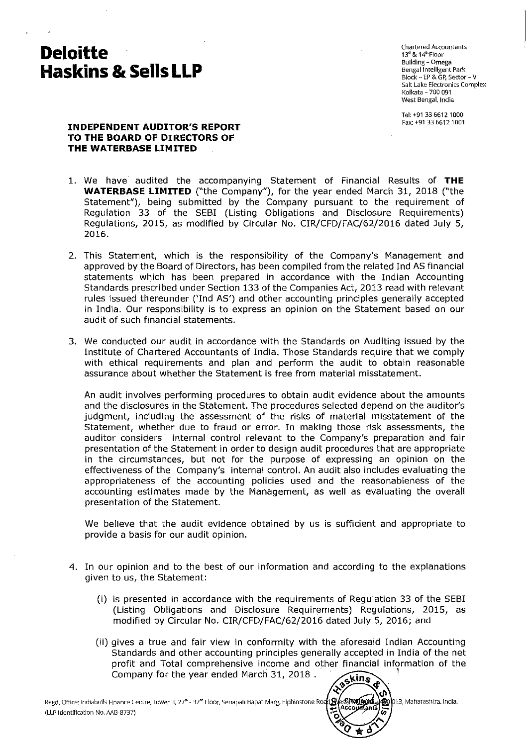## **Deloitte Haskins &. Sells LLP**

Chartered Accountants 13<sup>th</sup> & 14<sup>th</sup> Floor Building - Omega Bengal Intelligent Park Block - EP & GP, Sector - V Salt Lake Electronics Complex Kolkata - 700 091 West Bengal, India

Tel:+913366121000 Fax: +913366121001

#### **INDEPENDENT AUDITOR'S REPORT TO THE BOARD OF DIRECTORS OF THE WATERBASE LIMITED**

- 1. We have audited the accompanying Statement of Financial Results of **THE WATERBASE LIMITED** ("the Company"), for the year ended March 31, 2018 ("the Statement"), being submitted by the Company pursuant to the requirement of Regulation 33 of the SEBI (Listing Obligations and Disclosure Requirements) Regulations, 2015, as modified by Circular No. CIR/CFD/FAC/62/2016 dated July 5, 2016.
- 2. This Statement, which is the responsibility of the Company's Management and approved by the Board of Directors, has been compiled from the related Ind AS financial statements which has been prepared in accordance with the Indian Accounting Standards prescribed under Section 133 of the Companies Act, 2013 read with relevant rules issued thereunder ('Ind AS') and other accounting principles generally accepted in India. Our responsibility is to express an opinion on the Statement based on our audit of such financial statements.
- 3. We conducted our audit in accordance with the Standards on Auditing issued by the Institute of Chartered Accountants of India. Those Standards require that we comply with ethical requirements and plan and perform the audit to obtain reasonable assurance about whether the Statement is free from material misstatement.

An audit involves performing procedures to obtain audit evidence about the amounts and the disclosures in the Statement. The procedures selected depend on the auditor's judgment, including the assessment of the risks of material misstatement of the Statement, whether due to fraud or error. In making those risk assessments, the auditor considers internal control relevant to the Company's preparation and fair presentation of the Statement in order to design audit procedures that are appropriate in the circumstances, but not for the purpose of expressing an opinion on the effectiveness of the Company's internal control. An audit also includes evaluating the appropriateness of the accounting policies used and the reasonableness of the accounting estimates made by the Management, as well as evaluating the overall presentation of the Statement.

We believe that the audit evidence obtained by us is sufficient and appropriate to provide a basis for our audit opinion.

- 4. In our opinion and to the best of our information and according to the explanations given to us, the Statement:
	- (i) is presented in accordance with the requirements of Regulation 33 of the SEBI (Listing Obligations and Disclosure Requirements) Regulations, 2015, as modified by Circular No. CIR/CFD/FAC/62/2016 dated July 5, 2016; and
	- (ii) gives a true and fair view in conformity with the aforesaid Indian Accounting Standards and other accounting principles generally accepted in India of the net profit and Total comprehensive income and other financial information of the Company for the year ended March 31, 2018. kins

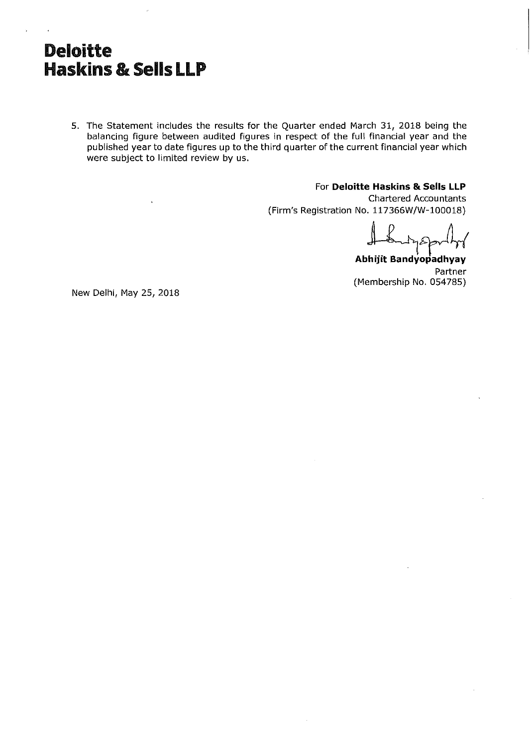## **Deloitte Haskins &: Sells LLP**

5. The Statement includes the results for the Quarter ended March 31, 2018 being the balancing figure between audited figures in respect of the full financial year and the published year to date figures up to the third quarter of the current financial year which were subject to limited review by us.

For **Deloitte Haskins & Sells LLP**

Chartered Accountants (Firm's Registration No. 117366W/W-100018)

Abhijit Bandyopadhyay Partner (Membership No. 054785)

New Delhi, May 25, 2018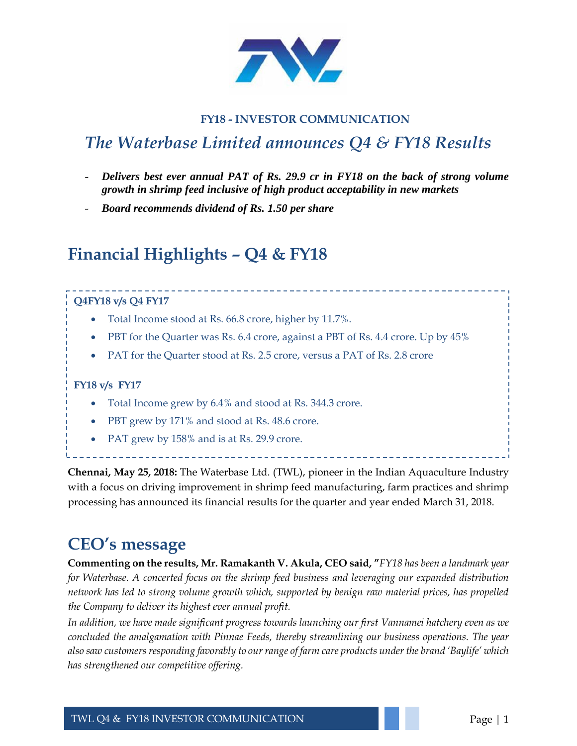

### **FY18 - INVESTOR COMMUNICATION**

## *The Waterbase Limited announces Q4 & FY18 Results*

- *Delivers best ever annual PAT of Rs. 29.9 cr in FY18 on the back of strong volume growth in shrimp feed inclusive of high product acceptability in new markets*
- *Board recommends dividend of Rs. 1.50 per share*

## **Financial Highlights – Q4 & FY18**

### **Q4FY18 v/s Q4 FY17**

- Total Income stood at Rs. 66.8 crore, higher by 11.7%.
- PBT for the Quarter was Rs. 6.4 crore, against a PBT of Rs. 4.4 crore. Up by 45%
- PAT for the Quarter stood at Rs. 2.5 crore, versus a PAT of Rs. 2.8 crore

#### **FY18 v/s FY17**

- Total Income grew by 6.4% and stood at Rs. 344.3 crore.
- PBT grew by 171% and stood at Rs. 48.6 crore.
- PAT grew by 158% and is at Rs. 29.9 crore.

**Chennai, May 25, 2018:** The Waterbase Ltd. (TWL), pioneer in the Indian Aquaculture Industry with a focus on driving improvement in shrimp feed manufacturing, farm practices and shrimp processing has announced its financial results for the quarter and year ended March 31, 2018.

### **CEO's message**

**Commenting on the results, Mr. Ramakanth V. Akula, CEO said, "***FY18 has been a landmark year for Waterbase. A concerted focus on the shrimp feed business and leveraging our expanded distribution network has led to strong volume growth which, supported by benign raw material prices, has propelled the Company to deliver its highest ever annual profit.* 

*In addition, we have made significant progress towards launching our first Vannamei hatchery even as we concluded the amalgamation with Pinnae Feeds, thereby streamlining our business operations. The year also saw customers responding favorably to our range of farm care products under the brand 'Baylife' which has strengthened our competitive offering.*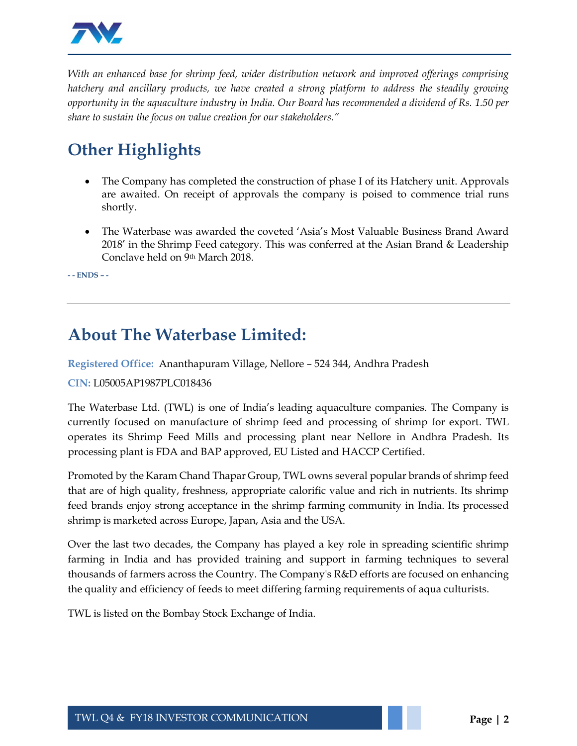

*With an enhanced base for shrimp feed, wider distribution network and improved offerings comprising hatchery and ancillary products, we have created a strong platform to address the steadily growing opportunity in the aquaculture industry in India. Our Board has recommended a dividend of Rs. 1.50 per share to sustain the focus on value creation for our stakeholders."*

# **Other Highlights**

- The Company has completed the construction of phase I of its Hatchery unit. Approvals are awaited. On receipt of approvals the company is poised to commence trial runs shortly.
- The Waterbase was awarded the coveted 'Asia's Most Valuable Business Brand Award 2018' in the Shrimp Feed category. This was conferred at the Asian Brand & Leadership Conclave held on 9th March 2018.

**- - ENDS – -**

### **About The Waterbase Limited:**

**Registered Office:** Ananthapuram Village, Nellore – 524 344, Andhra Pradesh

### **CIN:** L05005AP1987PLC018436

The Waterbase Ltd. (TWL) is one of India's leading aquaculture companies. The Company is currently focused on manufacture of shrimp feed and processing of shrimp for export. TWL operates its Shrimp Feed Mills and processing plant near Nellore in Andhra Pradesh. Its processing plant is FDA and BAP approved, EU Listed and HACCP Certified.

Promoted by the Karam Chand Thapar Group, TWL owns several popular brands of shrimp feed that are of high quality, freshness, appropriate calorific value and rich in nutrients. Its shrimp feed brands enjoy strong acceptance in the shrimp farming community in India. Its processed shrimp is marketed across Europe, Japan, Asia and the USA.

Over the last two decades, the Company has played a key role in spreading scientific shrimp farming in India and has provided training and support in farming techniques to several thousands of farmers across the Country. The Company's R&D efforts are focused on enhancing the quality and efficiency of feeds to meet differing farming requirements of aqua culturists.

TWL is listed on the Bombay Stock Exchange of India.